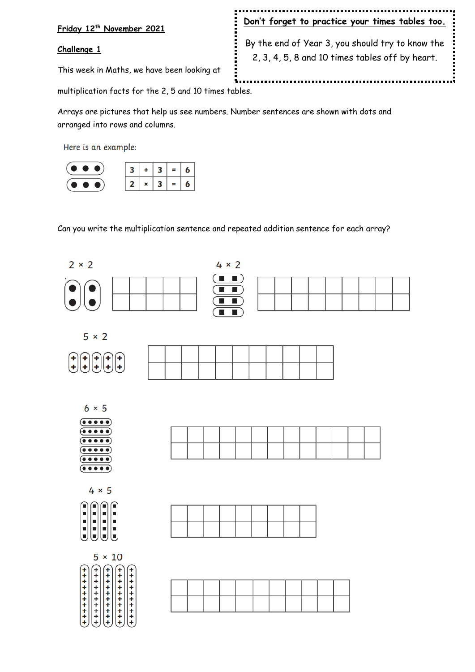#### **Friday 12th November 2021**

#### **Challenge 1**

This week in Maths, we have been looking at

### **Don't forget to practice your times tables too.**

By the end of Year 3, you should try to know the 2, 3, 4, 5, 8 and 10 times tables off by heart.

Å

multiplication facts for the 2, 5 and 10 times tables.

Arrays are pictures that help us see numbers. Number sentences are shown with dots and arranged into rows and columns.

Here is an example:



Can you write the multiplication sentence and repeated addition sentence for each array?

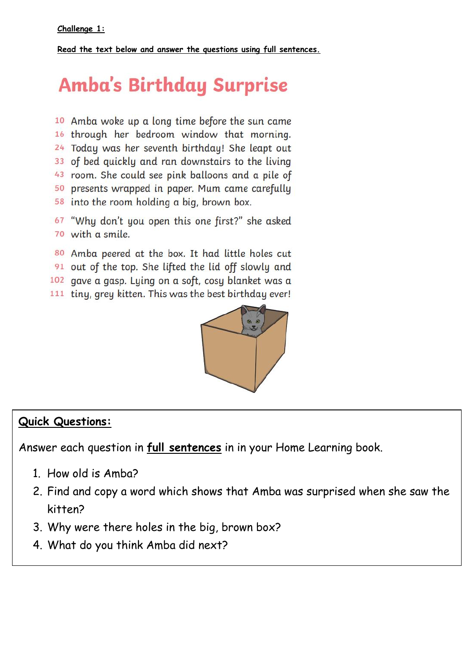**Read the text below and answer the questions using full sentences.**

# **Amba's Birthday Surprise**

10 Amba woke up a long time before the sun came 16 through her bedroom window that morning. 24 Today was her seventh birthday! She leapt out 33 of bed quickly and ran downstairs to the living 43 room. She could see pink balloons and a pile of 50 presents wrapped in paper. Mum came carefully 58 into the room holding a big, brown box.

67 "Why don't you open this one first?" she asked 70 with a smile.

80 Amba peered at the box. It had little holes cut

91 out of the top. She lifted the lid off slowly and

102 gave a gasp. Lying on a soft, cosy blanket was a

111 tiny, grey kitten. This was the best birthday ever!



# **Quick Questions:**

Answer each question in **full sentences** in in your Home Learning book.

- 1. How old is Amba?
- 2. Find and copy a word which shows that Amba was surprised when she saw the kitten?
- 3. Why were there holes in the big, brown box?
- 4. What do you think Amba did next?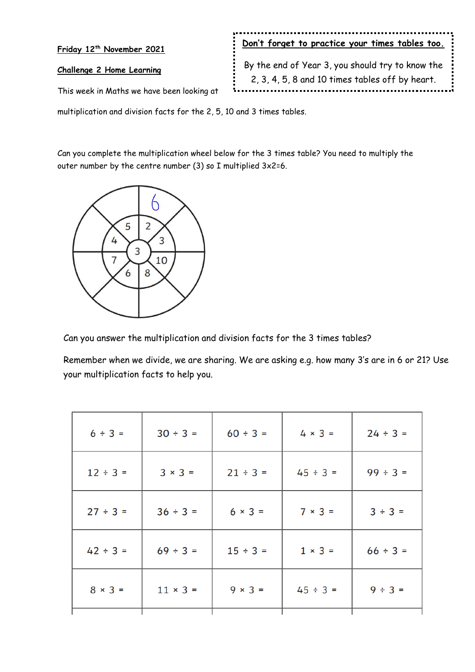| Friday 12 <sup>th</sup> November 2021      | : Don't forget to practice your times tables too. :                                                                     |  |
|--------------------------------------------|-------------------------------------------------------------------------------------------------------------------------|--|
| Challenge 2 Home Learning                  | : By the end of Year 3, you should try to know the :<br>$\frac{1}{2}$ , 2, 3, 4, 5, 8 and 10 times tables off by heart. |  |
| This week in Maths we have been looking at |                                                                                                                         |  |

multiplication and division facts for the 2, 5, 10 and 3 times tables.

Can you complete the multiplication wheel below for the 3 times table? You need to multiply the outer number by the centre number (3) so I multiplied 3x2=6.



Can you answer the multiplication and division facts for the 3 times tables?

Remember when we divide, we are sharing. We are asking e.g. how many 3's are in 6 or 21? Use your multiplication facts to help you.

| $6 ÷ 3 =$     | $30 \div 3 =$   | $60 \div 3 =$  | $4 \times 3 =$ | $24 \div 3 =$ |
|---------------|-----------------|----------------|----------------|---------------|
| $12 \div 3 =$ | $3 \times 3 =$  | $21 ÷ 3 =$     | $45 \div 3 =$  | $99 ÷ 3 =$    |
| $27 ÷ 3 =$    | $36 ÷ 3 =$      | $6 \times 3 =$ | $7 \times 3 =$ | $3 ÷ 3 =$     |
| $42 \div 3 =$ | $69 \div 3 =$   | $15 \div 3 =$  | $1 \times 3 =$ | $66 \div 3 =$ |
| $8 × 3 =$     | $11 \times 3 =$ | $9 \times 3 =$ | $45 \div 3 =$  | $9 ÷ 3 =$     |
|               |                 |                |                |               |